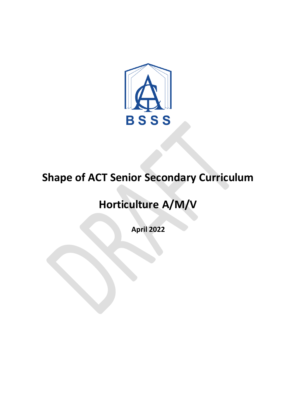

# **Shape of ACT Senior Secondary Curriculum**

# **Horticulture A/M/V**

**April 2022**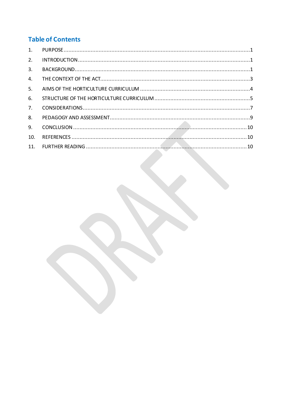# **Table of Contents**

| $\mathbf{1}$ . |  |
|----------------|--|
| 2.             |  |
| 3.             |  |
| $\mathbf{4}$ . |  |
| 5.             |  |
| 6.             |  |
| 7 <sub>1</sub> |  |
| 8.             |  |
| 9.             |  |
| 10.            |  |
| 11.            |  |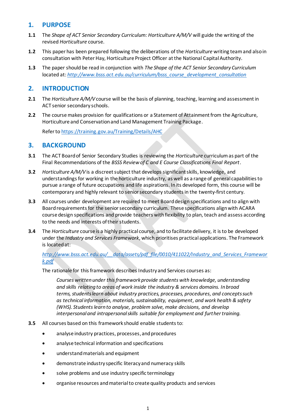# <span id="page-2-0"></span>**1. PURPOSE**

- **1.1** The *Shape of ACT Senior Secondary Curriculum: Horticulture A/M/V* will guide the writing of the revised *Horticulture* course.
- **1.2** This paper has been prepared following the deliberations of the *Horticulture* writing teamand also in consultation with Peter Hay, Horticulture Project Officer atthe National Capital Authority.
- **1.3** The paper should be read in conjunction with *The Shape of the ACT Senior Secondary Curriculum* located at: *[http://www.bsss.act.edu.au/curriculum/bsss\\_course\\_development\\_consultation](http://www.bsss.act.edu.au/curriculum/bsss_course_development_consultation)*

# <span id="page-2-1"></span>**2. INTRODUCTION**

- **2.1** The *Horticulture A/M/V* course will be the basis of planning, teaching, learning and assessment in ACT senior secondary schools.
- **2.2** The course makes provision for qualifications or a Statement of Attainment from the Agriculture, Horticulture and Conservation and Land Management Training Package.

Refer to <https://training.gov.au/Training/Details/AHC>

# <span id="page-2-2"></span>**3. BACKGROUND**

- **3.1** The ACT Board of Senior Secondary Studies is reviewing the *Horticulture* curriculumas part of the Final Recommendations of the *BSSS Review of C and E Course Classifications Final Report*.
- **3.2** *Horticulture A/M/V* is a discreet subject that develops significant skills, knowledge, and understandings for working in the horticulture industry, as well as a range of general capabilities to pursue a range of future occupations and life aspirations. In its developed form, this course will be contemporary and highly relevant to senior secondary students in the twenty-first century.
- **3.3** All courses under development are required to meet Board design specifications and to align with Board requirements for the senior secondary curriculum. These specifications align with ACARA course design specifications and provide teachers with flexibility to plan, teach and assess according to the needs and interests of their students.
- **3.4** The *Horticulture* course is a highly practical course, and to facilitate delivery, it is to be developed under the *Industry and Services Framework*, which prioritises practical applications. The Framework is located at:

## *[http://www.bsss.act.edu.au/\\_\\_data/assets/pdf\\_file/0010/411022/Industry\\_and\\_Services\\_Framewor](http://www.bsss.act.edu.au/__data/assets/pdf_file/0010/411022/Industry_and_Services_Framework.pdf) [k.pdf](http://www.bsss.act.edu.au/__data/assets/pdf_file/0010/411022/Industry_and_Services_Framework.pdf)*

The rationale for this framework describes Industry and Services courses as:

*Courses written under this framework provide students with knowledge, understanding and skills relating to areas of work inside the industry & services domains. In broad terms, students learn about industry practices, processes, procedures, and concepts such as technical information, materials, sustainability, equipment, and work health & safety (WHS). Students learn to analyse, problem solve, make decisions, and develop interpersonal and intrapersonal skills suitable for employment and further training.*

- **3.5** All courses based on this framework should enable students to:
	- analyse industry practices, processes,and procedures
	- analyse technical information and specifications
	- understand materials and equipment
	- demonstrate industry specific literacy and numeracy skills
	- solve problems and use industry specific terminology
	- organise resources and material to create quality products and services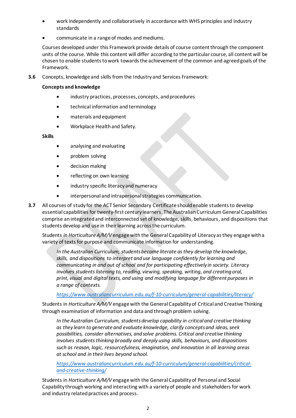- work independently and collaboratively in accordance with WHS principles and industry standards
- communicate in a range of modes and mediums.

Courses developed under this Framework provide details of course content through the component units of the course. While this content will differ according to the particular course, all content will be chosen to enable students to work towards the achievement of the common and agreed goals of the Framework.

**3.6** Concepts, knowledge and skills from the Industry and Services Framework:

#### **Concepts and knowledge**

- industry practices, processes, concepts, and procedures
- technical information and terminology
- materials and equipment
- Workplace Health and Safety.

#### **Skills**

- analysing and evaluating
- problem solving
- decision making
- reflecting on own learning
- industry specific literacy and numeracy
- interpersonal and intrapersonal strategies communication.
- **3.7** All courses of study for the ACT Senior Secondary Certificate should enable students to develop essential capabilities for twenty-first century learners. The Australian Curriculum General Capabilities comprise an integrated and interconnected set of knowledge, skills, behaviours, and dispositions that students develop and use in their learning across the curriculum.

Students *in Horticulture A/M/V* engage with the General Capability of Literacy as they engage with a variety of texts for purpose and communicate information for understanding.

*In the Australian Curriculum, students become literate as they develop the knowledge, skills, and dispositions to interpret and use language confidently for learning and communicating in and out of school and for participating effectively in society. Literacy involves students listening to, reading, viewing, speaking, writing, and creating oral, print, visual and digital texts, and using and modifying language for different purposes in a range of contexts.*

#### *<https://www.australiancurriculum.edu.au/f-10-curriculum/general-capabilities/literacy/>*

Students in *Horticulture A/M/V* engage with the General Capability of Critical and Creative Thinking through examination of information and data and through problem solving.

*In the Australian Curriculum, students develop capability in critical and creative thinking as they learn to generate and evaluate knowledge, clarify concepts and ideas, seek possibilities, consider alternatives, and solve problems. Critical and creative thinking involves students thinking broadly and deeply using skills, behaviours, and dispositions such as reason, logic, resourcefulness, imagination, and innovation in all learning areas at school and in their lives beyond school.*

*[https://www.australiancurriculum.edu.au/f-10-curriculum/general-capabilities/critical](https://www.australiancurriculum.edu.au/f-10-curriculum/general-capabilities/critical-and-creative-thinking/)[and-creative-thinking/](https://www.australiancurriculum.edu.au/f-10-curriculum/general-capabilities/critical-and-creative-thinking/)*

Students in *Horticulture A/M/V* engage with the General Capability of Personal and Social Capability through working and interacting with a variety of people and stakeholders for work and industry related practices and process.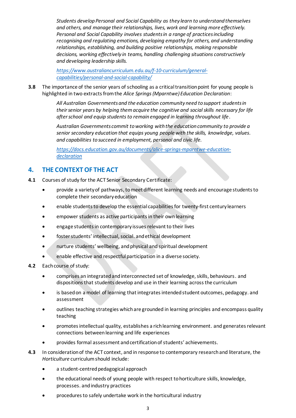*Students develop Personal and Social Capability as they learn to understand themselves and others, and manage their relationships, lives, work and learning more effectively. Personal and Social Capability involves students in a range of practices including recognising and regulating emotions, developing empathy for others, and understanding relationships, establishing, and building positive relationships, making responsible decisions, working effectively in teams, handling challenging situations constructively and developing leadership skills.*

*[https://www.australiancurriculum.edu.au/f-10-curriculum/general](https://www.australiancurriculum.edu.au/f-10-curriculum/general-capabilities/personal-and-social-capability/)[capabilities/personal-and-social-capability/](https://www.australiancurriculum.edu.au/f-10-curriculum/general-capabilities/personal-and-social-capability/)*

**3.8** The importance of the senior years of schooling as a critical transition point for young people is highlighted in two extracts from the *Alice Springs (Mparntwe) Education Declaration*:

> *All Australian Governments and the education community need to support students in their senior years by helping them acquire the cognitive and social skills necessary for life after school and equip students to remain engaged in learning throughout life*.

*Australian Governments commit to working with the education community to provide a senior secondary education that equips young people with the skills, knowledge, values. and capabilities to succeed in employment, personal and civic life.*

*[https://docs.education.gov.au/documents/alice-springs-mparntwe-education](https://docs.education.gov.au/documents/alice-springs-mparntwe-education-declaration)[declaration](https://docs.education.gov.au/documents/alice-springs-mparntwe-education-declaration)*

# <span id="page-4-0"></span>**4. THE CONTEXT OF THE ACT**

- **4.1** Courses of study for the ACT Senior Secondary Certificate:
	- provide a variety of pathways, to meet different learning needs and encourage students to complete their secondary education
	- enable students to develop the essential capabilities for twenty-first century learners
	- empower students as active participants in their own learning
	- engage students in contemporary issues relevant to their lives
	- foster students' intellectual, social. and ethical development
	- nurture students' wellbeing, and physical and spiritual development
	- enable effective and respectful participation in a diverse society.
- **4.2** Each course of study:
	- comprises an integrated and interconnected set of knowledge, skills, behaviours. and dispositions that students develop and use in their learning across the curriculum
	- is based on a model of learning that integrates intended student outcomes, pedagogy. and assessment
	- outlines teaching strategies which are grounded in learning principles and encompass quality teaching
	- promotes intellectual quality, establishes a rich learning environment. and generates relevant connections between learning and life experiences
	- provides formal assessment and certification of students' achievements.
- **4.3** In consideration of the ACT context, and in response to contemporary research and literature, the *Horticulture* curriculumshould include:
	- a student-centred pedagogical approach
	- the educational needs of young people with respect to horticulture skills, knowledge, processes. andindustry practices
	- procedures to safely undertake work in the horticultural industry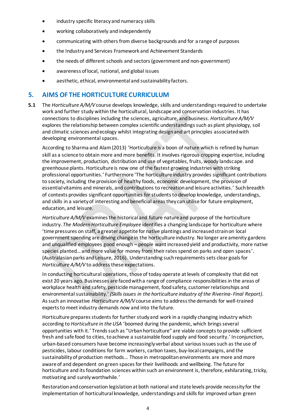- industry specific literacy and numeracy skills
- working collaboratively and independently
- communicating with others from diverse backgrounds and for a range of purposes
- the Industry and Services Framework and Achievement Standards
- the needs of different schools and sectors (government and non-government)
- awareness of local, national, and global issues
- aesthetic, ethical, environmental and sustainability factors.

## <span id="page-5-0"></span>**5. AIMS OF THE HORTICULTURE CURRICULUM**

**5.1** The *Horticulture A/M/V* course develops knowledge, skills and understandingsrequired to undertake work and further study within the horticultural, landscape and conservation industries. It has connections to disciplines including the sciences, agriculture, and business. *Horticulture A/M/V*  explores the relationship between complex scientific understandings such as plant physiology, soil and climatic sciences and ecology whilst integrating design and art principles associated with developing environmental spaces.

According to Sharma and Alam (2013) 'Horticulture is a boon of nature which is refined by human skill as a science to obtain more and more benefits. It involves rigorous cropping expertise, including the improvement, production, distribution and use of vegetables, fruits, woody landscape. and greenhouse plants. Horticulture is now one of the fastest growing industries with striking professional opportunities.' Furthermore 'The horticulture industry provides significant contributions to society, including the provision of healthy foods, economic development, the provision of essential vitamins and minerals, and contributions to recreation and leisure activities.' Such breadth of contexts provides significant opportunities for students to develop knowledge, understandings, and skills in a variety of interesting and beneficial areas they can utilise for future employment, education, and leisure.

*Horticulture A/M/V* examines the historical and future nature and purpose of the horticulture industry. *The Modern Horticulture Employee* identifies a changing landscape for horticulture where 'time pressures on staff, a greater appetite for native plantings and increased strain on local government spending are driving change in the horticulture industry. No longer are amenity gardens and unqualified employees good enough – people want increased yield and productivity, more native species planted… and more value for money from their rates spend on parks and open spaces'. (Australasian parks and Leisure, 2016). Understanding such requirements sets clear goals for *Horticulture A/M/V* to address these expectations.

In conducting horticultural operations, those of today operate at levels of complexity that did not exist 20 years ago. Businesses are faced with a range of compliance responsibilities in the areas of workplace health and safety, pesticide management, food safety, customer relationships and environmental sustainability.' *(Skills issues in the horticulture industry of the Riverina- Final Report)*. As such an innovative *Horticulture A/M/V* course aims to address the demands for well-trained experts to meet industry demands now and into the future.

Horticulture prepares students for further study and work in a rapidly changing industry which according to *Horticulture in the USA* 'boomed during the pandemic, which brings several opportunities with it.' Trends such as "Urban horticulture" are viable conceptsto provide sufficient fresh and safe food to cities, to achieve a sustainable food supply and food security.' In conjunction, urban-based consumers have become increasingly verbal about various issues such as the use of pesticides, labour conditions for farm workers, carbon taxes, buy-local campaigns, and the sustainability of production methods… Those in metropolitan environments are more and more aware of and dependent on green spaces for their livelihoods and wellbeing. The future for horticulture and its foundation sciences within such an environment is, therefore, exhilarating, tricky, motivating and surely worthwhile.'

Restoration and conservation legislation at both national and state levels provide necessity for the implementation of horticultural knowledge, understandings and skills for improved urban green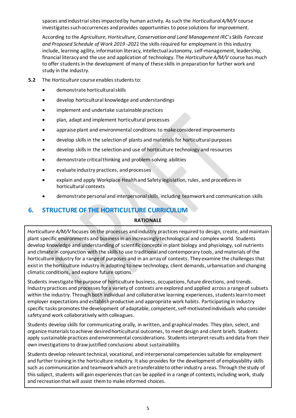spaces and industrial sites impacted by human activity. As such the *Horticultural A/M/V* course investigates such occurrences and provides opportunities to pose solutions for improvement.

According to the *Agriculture, Horticulture, Conservation and Land Management IRC's Skills Forecast and Proposed Schedule of Work 2019 -2021* the skills required for employment in this industry include, learning agility, information literacy, intellectual autonomy, self-management, leadership, financial literacy and the use and application of technology. The *Horticulture A/M/V* course has much to offer students in the development of many of these skills in preparation for further work and study in the industry.

- **5.2** The *Horticulture* course enables students to:
	- demonstrate horticultural skills
	- develop horticultural knowledge and understandings
	- implement and undertake sustainable practices
	- plan, adapt and implement horticultural processes
	- appraise plant and environmental conditions to make considered improvements
	- develop skills in the selection of plants and materials for horticultural purposes
	- develop skills in the selection and use of horticulture technology and resources
	- demonstrate critical thinking and problem-solving abilities
	- evaluate industry practices, and processes
	- explain and apply Workplace Health and Safety legislation, rules, and procedures in horticultural contexts
	- demonstrate personal and interpersonal skills, including teamwork and communication skills

# <span id="page-6-0"></span>**6. STRUCTURE OF THE HORTICULTURE CURRICULUM**

#### **RATIONALE**

*Horticulture A/M/V* focuses on the processes and industry practices required to design, create, and maintain plant specific environments and business in an increasingly technological and complex world. Students develop knowledge and understanding of scientific concepts in plant biology and physiology, soil nutrients and climate in conjunction with the skills to use traditional and contemporary tools, and materials of the horticulture industry for a range of purposes and in an array of contexts. They examine the challenges that exist in the horticulture industry in adapting to new technology, client demands, urbanisation and changing climatic conditions, and explore future options.

Students investigate the purpose of horticulture business, occupations, future directions, and trends. Industry practices and processes for a variety of contexts are explored and applied across a range of subsets within the industry. Through both individual and collaborative learning experiences, students learn to meet employer expectations and establish productive and appropriate work habits. Participating in industry specific tasks promotes the development of adaptable, competent, self-motivated individuals who consider safety and work collaboratively with colleagues.

Students develop skills for communicating orally, in written, and graphical modes. They plan, select, and organize materials to achieve desired horticultural outcomes, to meet design and client briefs. Students apply sustainable practices and environmental considerations. Students interpret results and data from their own investigations to draw justified conclusions about sustainability.

Students develop relevant technical, vocational, and interpersonal competencies suitable for employment and further training in the horticulture industry. It also provides for the development of employability skills such as communication and teamwork which are transferable to other industry areas. Through the study of this subject, students will gain experiences that can be applied in a range of contexts, including work, study and recreation that will assist them to make informed choices.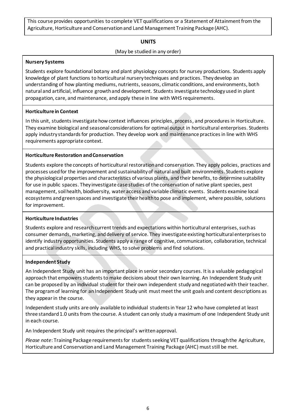This course provides opportunities to complete VET qualifications or a Statement of Attainment from the Agriculture, Horticulture and Conservation and Land Management Training Package (AHC).

#### **UNITS**

#### (May be studied in any order)

#### **Nursery Systems**

Students explore foundational botany and plant physiology concepts for nursey productions. Students apply knowledge of plant functions to horticultural nursery techniques and practices. They develop an understanding of how planting mediums, nutrients, seasons, climatic conditions, and environments, both natural and artificial, influence growth and development. Students investigate technology used in plant propagation, care, and maintenance, and apply these in line with WHS requirements.

## **Horticulture in Context**

In this unit, students investigate how context influences principles, process, and procedures in Horticulture. They examine biological and seasonal considerations for optimal output in horticultural enterprises. Students apply industry standards for production. They develop work and maintenance practices in line with WHS requirements appropriate context.

#### **Horticulture Restoration and Conservation**

Students explore the concepts of horticultural restoration and conservation. They apply policies, practices and processes used for the improvement and sustainability of natural and built environments. Students explore the physiological properties and characteristics of various plants, and their benefits, to determine suitability for use in public spaces. They investigate case studies of the conservation of native plant species, pest management, soil health, biodiversity, water access and variable climatic events. Students examine local ecosystems and green spaces and investigate their health to pose and implement, where possible, solutions for improvement.

#### **Horticulture Industries**

Students explore and research current trends and expectations within horticultural enterprises, such as consumer demands, marketing, and delivery of service. They investigate existing horticultural enterprises to identify industry opportunities. Students apply a range of cognitive, communication, collaboration, technical and practical industry skills, including WHS, to solve problems and find solutions.

#### **Independent Study**

An Independent Study unit has an important place in senior secondary courses. It is a valuable pedagogical approach that empowers students to make decisions about their own learning. An Independent Study unit can be proposed by an individual student for their own independent study and negotiated with their teacher. The program of learning for an Independent Study unit must meet the unit goals and content descriptions as they appear in the course.

Independent study units are only available to individual students in Year 12 who have completed at least three standard 1.0 units from the course. A student can only study a maximum of one Independent Study unit in each course.

An Independent Study unit requires the principal's written approval.

<span id="page-7-0"></span>*Please note*: Training Package requirements for students seeking VET qualifications through the Agriculture, Horticulture and Conservation and Land Management Training Package (AHC) must still be met.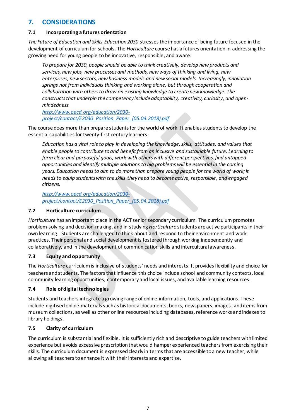# **7. CONSIDERATIONS**

#### **7.1 Incorporating a futures orientation**

*The Future of Education and Skills Education 2030* stresses the importance of being future focused in the development of curriculum for schools. The *Horticulture* course has a futures orientation in addressing the growing need for young people to be innovative, responsible, and aware:

*To prepare for 2030, people should be able to think creatively, develop new products and services, new jobs, new processes and methods, new ways of thinking and living, new enterprises, new sectors, new business models and new social models. Increasingly, innovation springs not from individuals thinking and working alone, but through cooperation and collaboration with others to draw on existing knowledge to create new knowledge. The constructs that underpin the competency include adaptability, creativity, curiosity, and openmindedness.*

*[http://www.oecd.org/education/2030](http://www.oecd.org/education/2030-project/contact/E2030_Position_Paper_(05.04.2018).pdf) [project/contact/E2030\\_Position\\_Paper\\_\(05.04.2018\).pdf](http://www.oecd.org/education/2030-project/contact/E2030_Position_Paper_(05.04.2018).pdf)*

The course does more than prepare students for the world of work. It enables students to develop the essential capabilities for twenty-first century learners:

*Education has a vital role to play in developing the knowledge, skills, attitudes, and values that enable people to contribute to and benefit from an inclusive and sustainable future. Learning to form clear and purposeful goals, work with others with different perspectives, find untapped opportunities and identify multiple solutions to big problems will be essential in the coming years. Education needs to aim to do more than prepare young people for the world of work; it needs to equip students with the skills they need to become active, responsible, and engaged citizens.*

*[http://www.oecd.org/education/2030](http://www.oecd.org/education/2030-project/contact/E2030_Position_Paper_(05.04.2018).pdf) [project/contact/E2030\\_Position\\_Paper\\_\(05.04.2018\).pdf](http://www.oecd.org/education/2030-project/contact/E2030_Position_Paper_(05.04.2018).pdf)*

#### **7.2 Horticulture curriculum**

*Horticulture* has an important place in the ACT senior secondary curriculum. The curriculum promotes problem-solving and decision-making, and in studying *Horticulture* students are active participants in their own learning. Students are challenged to think about and respond to their environment and work practices. Their personal and social development is fostered through working independently and collaboratively, and in the development of communication skills and intercultural awareness.

## **7.3 Equity and opportunity**

The *Horticulture* curriculum is inclusive of students' needs and interests. It provides flexibility and choice for teachers and students. The factors that influence this choice include school and community contexts, local community learning opportunities, contemporary and local issues, and available learning resources.

## **7.4 Role of digital technologies**

Students and teachers integrate a growing range of online information, tools, and applications. These include digitised online materials such as historical documents, books, newspapers, images, and items from museum collections, as well as other online resources including databases, reference works and indexes to library holdings.

## **7.5 Clarity of curriculum**

The curriculum is substantial and flexible. It is sufficiently rich and descriptive to guide teachers with limited experience but avoids excessive prescription that would hamper experienced teachers from exercising their skills. The curriculum document is expressed clearly in terms that are accessible to a new teacher, while allowing all teachers to enhance it with their interests and expertise.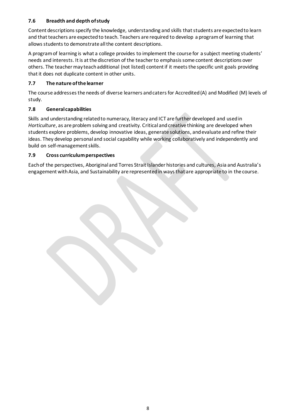## **7.6 Breadth and depth of study**

Content descriptions specify the knowledge, understanding and skills that students are expected to learn and that teachers are expected to teach. Teachers are required to develop a program of learning that allows students to demonstrate all the content descriptions.

A program of learning is what a college provides to implement the course for a subject meeting students' needs and interests. It is at the discretion of the teacher to emphasis some content descriptions over others. The teacher may teach additional (not listed) content if it meets the specific unit goals providing that it does not duplicate content in other units.

## **7.7 The nature of the learner**

The course addressesthe needs of diverse learners and catersfor Accredited (A) and Modified (M) levels of study.

## **7.8 General capabilities**

Skills and understanding related to numeracy, literacy and ICT are further developed and used in *Horticulture*, as are problem solving and creativity. Critical and creative thinking are developed when students explore problems, develop innovative ideas, generate solutions, and evaluate and refine their ideas. They develop personal and social capability while working collaboratively and independently and build on self-management skills.

## **7.9 Cross curriculum perspectives**

Each of the perspectives, Aboriginal and Torres Strait Islander histories and cultures, Asia and Australia's engagement with Asia, and Sustainability are represented in ways that are appropriate to in the course.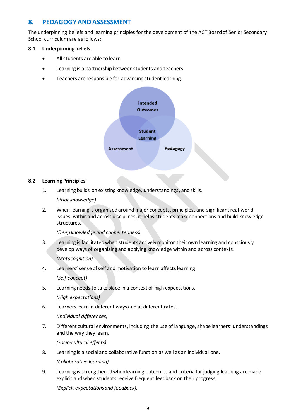# <span id="page-10-0"></span>**8. PEDAGOGY AND ASSESSMENT**

The underpinning beliefs and learning principles for the development of the ACT Board of Senior Secondary School curriculum are as follows:

#### **8.1 Underpinning beliefs**

- All students are able to learn
- Learning is a partnership between students and teachers
- Teachers are responsible for advancing student learning.



#### **8.2 Learning Principles**

1. Learning builds on existing knowledge, understandings, and skills.

*(Prior knowledge)*

2. When learning is organised around major concepts, principles, and significant real-world issues, within and across disciplines, it helps students make connections and build knowledge structures.

*(Deep knowledge and connectedness)*

3. Learning is facilitated when students actively monitor their own learning and consciously develop ways of organising and applying knowledge within and across contexts.

*(Metacognition)*

4. Learners' sense of self and motivation to learn affects learning.

*(Self-concept)*

5. Learning needs to take place in a context of high expectations.

*(High expectations)*

6. Learners learn in different ways and at different rates.

*(Individual differences)*

7. Different cultural environments, including the use of language, shape learners' understandings and the way they learn.

*(Socio-cultural effects)*

8. Learning is a social and collaborative function as well as an individual one.

*(Collaborative learning)*

9. Learning is strengthened when learning outcomes and criteria for judging learning are made explicit and when students receive frequent feedback on their progress.

*(Explicit expectations and feedback).*